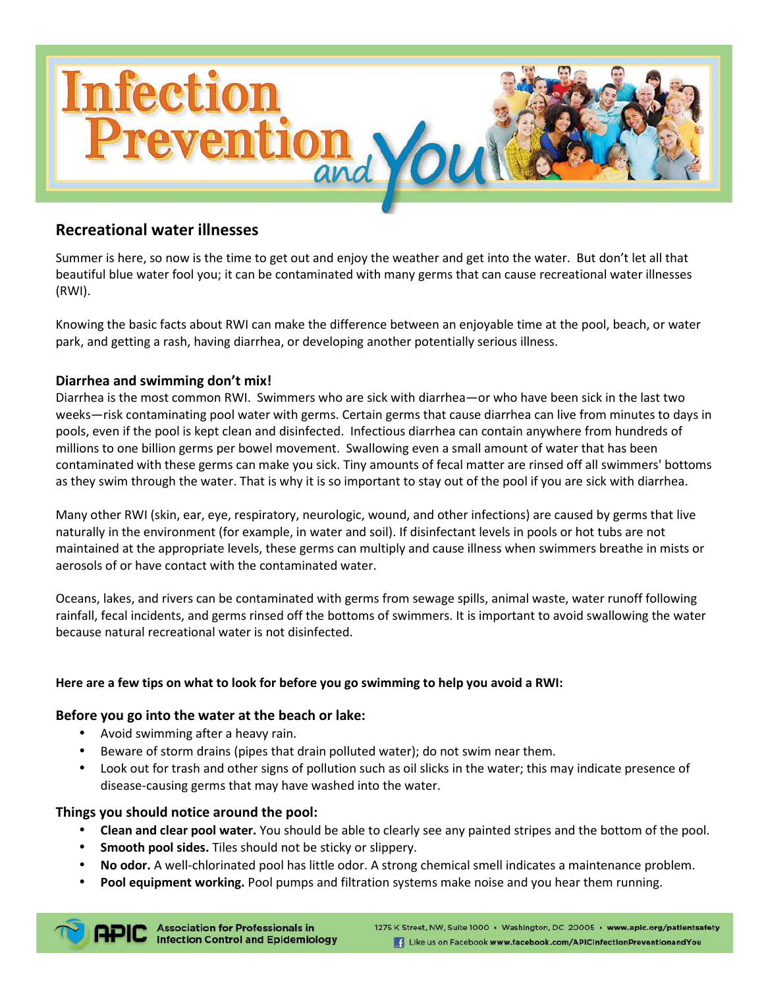

# **Recreational water illnesses**

Summer is here, so now is the time to get out and enjoy the weather and get into the water. But don't let all that beautiful blue water fool you; it can be contaminated with many germs that can cause recreational water illnesses (RWI).

Knowing the basic facts about RWI can make the difference between an enjoyable time at the pool, beach, or water park, and getting a rash, having diarrhea, or developing another potentially serious illness.

# **Diarrhea and swimming don't mix!**

Diarrhea is the most common RWI. Swimmers who are sick with diarrhea—or who have been sick in the last two weeks—risk contaminating pool water with germs. Certain germs that cause diarrhea can live from minutes to days in pools, even if the pool is kept clean and disinfected. Infectious diarrhea can contain anywhere from hundreds of millions to one billion germs per bowel movement. Swallowing even a small amount of water that has been contaminated with these germs can make you sick. Tiny amounts of fecal matter are rinsed off all swimmers' bottoms as they swim through the water. That is why it is so important to stay out of the pool if you are sick with diarrhea.

Many other RWI (skin, ear, eye, respiratory, neurologic, wound, and other infections) are caused by germs that live naturally in the environment (for example, in water and soil). If disinfectant levels in pools or hot tubs are not maintained at the appropriate levels, these germs can multiply and cause illness when swimmers breathe in mists or aerosols of or have contact with the contaminated water.

Oceans, lakes, and rivers can be contaminated with germs from sewage spills, animal waste, water runoff following rainfall, fecal incidents, and germs rinsed off the bottoms of swimmers. It is important to avoid swallowing the water because natural recreational water is not disinfected.

# **Here are a few tips on what to look for before you go swimming to help you avoid a RWI:**

#### **Before you go into the water at the beach or lake:**

- Avoid swimming after a heavy rain.
- Beware of storm drains (pipes that drain polluted water); do not swim near them.
- Look out for trash and other signs of pollution such as oil slicks in the water; this may indicate presence of disease-causing germs that may have washed into the water.

#### **Things you should notice around the pool:**

- **Clean and clear pool water.** You should be able to clearly see any painted stripes and the bottom of the pool.
- **Smooth pool sides.** Tiles should not be sticky or slippery.
- **No odor.** A well-chlorinated pool has little odor. A strong chemical smell indicates a maintenance problem.
- **Pool equipment working.** Pool pumps and filtration systems make noise and you hear them running.